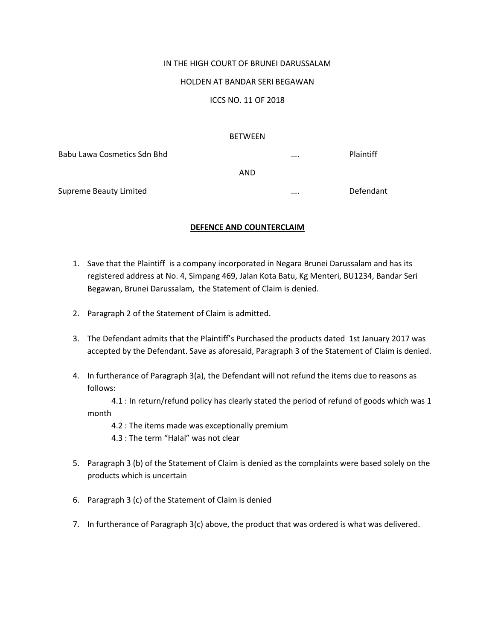## IN THE HIGH COURT OF BRUNEI DARUSSALAM

## HOLDEN AT BANDAR SERI BEGAWAN

ICCS NO. 11 OF 2018

## BETWEEN

| Babu Lawa Cosmetics Sdn Bhd |     | <br>Plaintiff |
|-----------------------------|-----|---------------|
|                             | AND |               |
| Supreme Beauty Limited      |     | <br>Defendant |

## **DEFENCE AND COUNTERCLAIM**

- 1. Save that the Plaintiff is a company incorporated in Negara Brunei Darussalam and has its registered address at No. 4, Simpang 469, Jalan Kota Batu, Kg Menteri, BU1234, Bandar Seri Begawan, Brunei Darussalam, the Statement of Claim is denied.
- 2. Paragraph 2 of the Statement of Claim is admitted.
- 3. The Defendant admits that the Plaintiff's Purchased the products dated 1st January 2017 was accepted by the Defendant. Save as aforesaid, Paragraph 3 of the Statement of Claim is denied.
- 4. In furtherance of Paragraph 3(a), the Defendant will not refund the items due to reasons as follows:

 4.1 : In return/refund policy has clearly stated the period of refund of goods which was 1 month

4.2 : The items made was exceptionally premium

- 4.3 : The term "Halal" was not clear
- 5. Paragraph 3 (b) of the Statement of Claim is denied as the complaints were based solely on the products which is uncertain
- 6. Paragraph 3 (c) of the Statement of Claim is denied
- 7. In furtherance of Paragraph 3(c) above, the product that was ordered is what was delivered.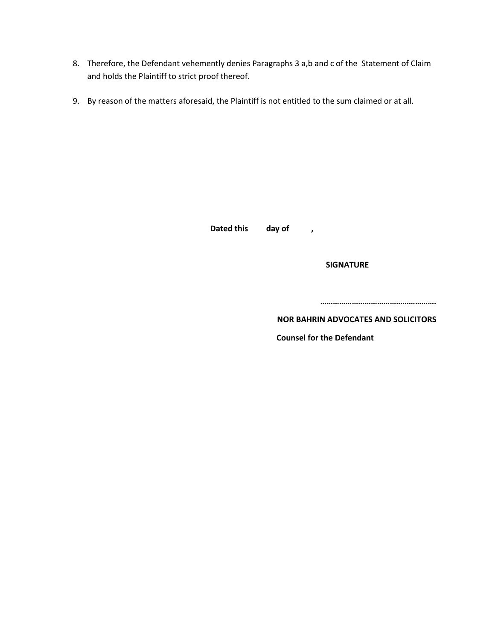- 8. Therefore, the Defendant vehemently denies Paragraphs 3 a,b and c of the Statement of Claim and holds the Plaintiff to strict proof thereof.
- 9. By reason of the matters aforesaid, the Plaintiff is not entitled to the sum claimed or at all.

**Dated this day of ,**

 **SIGNATURE**

**……………………………………………….**

**NOR BAHRIN ADVOCATES AND SOLICITORS** 

 **Counsel for the Defendant**